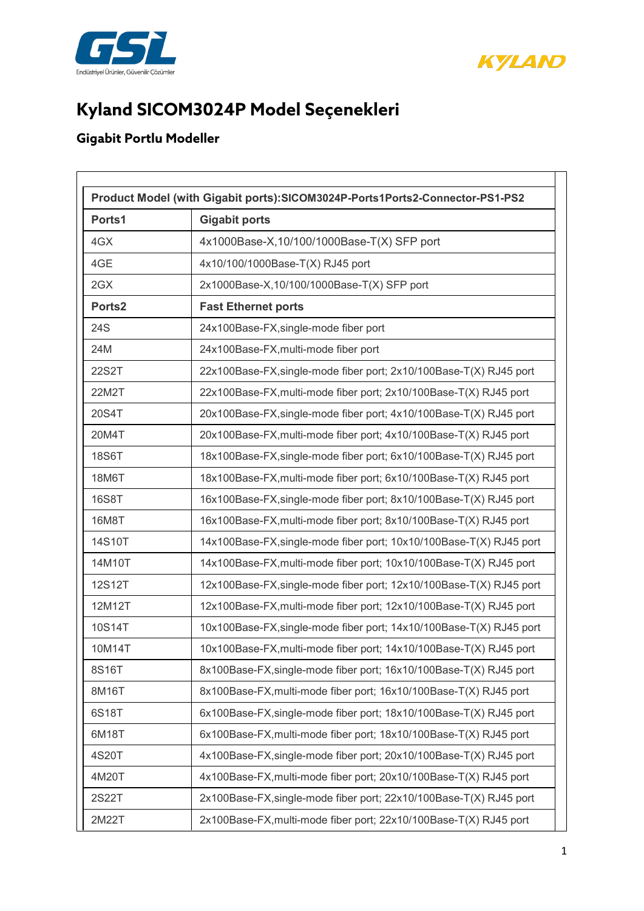



## **Kyland SICOM3024P Model Seçenekleri**

## **Gigabit Portlu Modeller**

| Ports1             | <b>Gigabit ports</b>                                                |
|--------------------|---------------------------------------------------------------------|
| 4GX                | 4x1000Base-X,10/100/1000Base-T(X) SFP port                          |
| 4GE                | 4x10/100/1000Base-T(X) RJ45 port                                    |
| 2GX                | 2x1000Base-X,10/100/1000Base-T(X) SFP port                          |
| Ports <sub>2</sub> | <b>Fast Ethernet ports</b>                                          |
| 24S                | 24x100Base-FX, single-mode fiber port                               |
| 24M                | 24x100Base-FX, multi-mode fiber port                                |
| 22S2T              | 22x100Base-FX, single-mode fiber port; 2x10/100Base-T(X) RJ45 port  |
| 22M2T              | 22x100Base-FX, multi-mode fiber port; 2x10/100Base-T(X) RJ45 port   |
| 20S4T              | 20x100Base-FX, single-mode fiber port; 4x10/100Base-T(X) RJ45 port  |
| 20M4T              | 20x100Base-FX, multi-mode fiber port; 4x10/100Base-T(X) RJ45 port   |
| 18S6T              | 18x100Base-FX, single-mode fiber port; 6x10/100Base-T(X) RJ45 port  |
| 18M6T              | 18x100Base-FX, multi-mode fiber port; 6x10/100Base-T(X) RJ45 port   |
| <b>16S8T</b>       | 16x100Base-FX, single-mode fiber port; 8x10/100Base-T(X) RJ45 port  |
| 16M8T              | 16x100Base-FX, multi-mode fiber port; 8x10/100Base-T(X) RJ45 port   |
| 14S10T             | 14x100Base-FX, single-mode fiber port; 10x10/100Base-T(X) RJ45 port |
| 14M10T             | 14x100Base-FX, multi-mode fiber port; 10x10/100Base-T(X) RJ45 port  |
| 12S12T             | 12x100Base-FX, single-mode fiber port; 12x10/100Base-T(X) RJ45 port |
| 12M12T             | 12x100Base-FX, multi-mode fiber port; 12x10/100Base-T(X) RJ45 port  |
| 10S14T             | 10x100Base-FX, single-mode fiber port; 14x10/100Base-T(X) RJ45 port |
| 10M14T             | 10x100Base-FX, multi-mode fiber port; 14x10/100Base-T(X) RJ45 port  |
| 8S16T              | 8x100Base-FX, single-mode fiber port; 16x10/100Base-T(X) RJ45 port  |
| 8M16T              | 8x100Base-FX, multi-mode fiber port; 16x10/100Base-T(X) RJ45 port   |
| 6S18T              | 6x100Base-FX, single-mode fiber port; 18x10/100Base-T(X) RJ45 port  |
| 6M18T              | 6x100Base-FX, multi-mode fiber port; 18x10/100Base-T(X) RJ45 port   |
| 4S20T              | 4x100Base-FX, single-mode fiber port; 20x10/100Base-T(X) RJ45 port  |
| 4M20T              | 4x100Base-FX, multi-mode fiber port; 20x10/100Base-T(X) RJ45 port   |
| 2S22T              | 2x100Base-FX, single-mode fiber port; 22x10/100Base-T(X) RJ45 port  |
| 2M22T              | 2x100Base-FX, multi-mode fiber port; 22x10/100Base-T(X) RJ45 port   |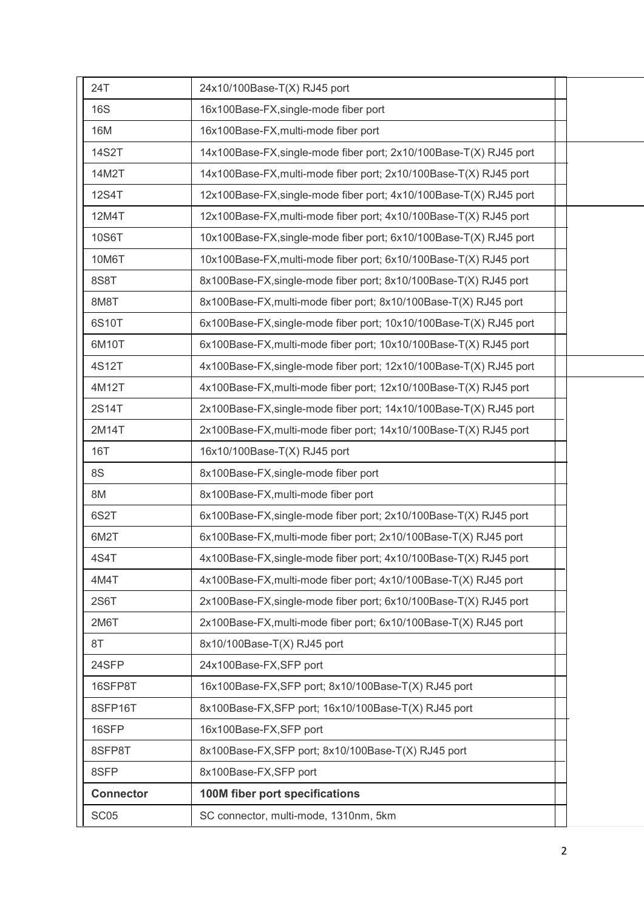| 8S8T<br>8M8T<br>6S10T<br>6M10T<br>4S12T<br>4M12T<br>2S14T<br>2M14T<br><b>16T</b><br>8S<br>8M<br>6S2T<br>6M2T<br>4S4T<br>4M4T<br>2S6T<br>2M6T<br>8T<br>24SFP<br>16SFP8T<br>8SFP16T<br>16SFP<br>8SFP8T<br>8SFP<br><b>Connector</b> | 6x100Base-FX, single-mode fiber port; 10x10/100Base-T(X) RJ45 port<br>6x100Base-FX, multi-mode fiber port; 10x10/100Base-T(X) RJ45 port<br>4x100Base-FX, single-mode fiber port; 12x10/100Base-T(X) RJ45 port<br>4x100Base-FX, multi-mode fiber port; 12x10/100Base-T(X) RJ45 port<br>2x100Base-FX, single-mode fiber port; 14x10/100Base-T(X) RJ45 port<br>2x100Base-FX, multi-mode fiber port; 14x10/100Base-T(X) RJ45 port<br>16x10/100Base-T(X) RJ45 port<br>8x100Base-FX, single-mode fiber port<br>8x100Base-FX, multi-mode fiber port<br>6x100Base-FX, single-mode fiber port; 2x10/100Base-T(X) RJ45 port<br>6x100Base-FX, multi-mode fiber port; 2x10/100Base-T(X) RJ45 port<br>4x100Base-FX, single-mode fiber port; 4x10/100Base-T(X) RJ45 port<br>4x100Base-FX, multi-mode fiber port; 4x10/100Base-T(X) RJ45 port<br>2x100Base-FX, single-mode fiber port; 6x10/100Base-T(X) RJ45 port<br>2x100Base-FX, multi-mode fiber port; 6x10/100Base-T(X) RJ45 port<br>8x10/100Base-T(X) RJ45 port<br>24x100Base-FX, SFP port<br>16x100Base-FX, SFP port; 8x10/100Base-T(X) RJ45 port<br>8x100Base-FX, SFP port; 16x10/100Base-T(X) RJ45 port<br>16x100Base-FX,SFP port<br>8x100Base-FX, SFP port; 8x10/100Base-T(X) RJ45 port<br>8x100Base-FX,SFP port<br>100M fiber port specifications |  |
|----------------------------------------------------------------------------------------------------------------------------------------------------------------------------------------------------------------------------------|-----------------------------------------------------------------------------------------------------------------------------------------------------------------------------------------------------------------------------------------------------------------------------------------------------------------------------------------------------------------------------------------------------------------------------------------------------------------------------------------------------------------------------------------------------------------------------------------------------------------------------------------------------------------------------------------------------------------------------------------------------------------------------------------------------------------------------------------------------------------------------------------------------------------------------------------------------------------------------------------------------------------------------------------------------------------------------------------------------------------------------------------------------------------------------------------------------------------------------------------------------------------------------------------------|--|
|                                                                                                                                                                                                                                  |                                                                                                                                                                                                                                                                                                                                                                                                                                                                                                                                                                                                                                                                                                                                                                                                                                                                                                                                                                                                                                                                                                                                                                                                                                                                                               |  |
|                                                                                                                                                                                                                                  |                                                                                                                                                                                                                                                                                                                                                                                                                                                                                                                                                                                                                                                                                                                                                                                                                                                                                                                                                                                                                                                                                                                                                                                                                                                                                               |  |
|                                                                                                                                                                                                                                  |                                                                                                                                                                                                                                                                                                                                                                                                                                                                                                                                                                                                                                                                                                                                                                                                                                                                                                                                                                                                                                                                                                                                                                                                                                                                                               |  |
|                                                                                                                                                                                                                                  |                                                                                                                                                                                                                                                                                                                                                                                                                                                                                                                                                                                                                                                                                                                                                                                                                                                                                                                                                                                                                                                                                                                                                                                                                                                                                               |  |
|                                                                                                                                                                                                                                  |                                                                                                                                                                                                                                                                                                                                                                                                                                                                                                                                                                                                                                                                                                                                                                                                                                                                                                                                                                                                                                                                                                                                                                                                                                                                                               |  |
|                                                                                                                                                                                                                                  |                                                                                                                                                                                                                                                                                                                                                                                                                                                                                                                                                                                                                                                                                                                                                                                                                                                                                                                                                                                                                                                                                                                                                                                                                                                                                               |  |
|                                                                                                                                                                                                                                  |                                                                                                                                                                                                                                                                                                                                                                                                                                                                                                                                                                                                                                                                                                                                                                                                                                                                                                                                                                                                                                                                                                                                                                                                                                                                                               |  |
|                                                                                                                                                                                                                                  |                                                                                                                                                                                                                                                                                                                                                                                                                                                                                                                                                                                                                                                                                                                                                                                                                                                                                                                                                                                                                                                                                                                                                                                                                                                                                               |  |
|                                                                                                                                                                                                                                  |                                                                                                                                                                                                                                                                                                                                                                                                                                                                                                                                                                                                                                                                                                                                                                                                                                                                                                                                                                                                                                                                                                                                                                                                                                                                                               |  |
|                                                                                                                                                                                                                                  |                                                                                                                                                                                                                                                                                                                                                                                                                                                                                                                                                                                                                                                                                                                                                                                                                                                                                                                                                                                                                                                                                                                                                                                                                                                                                               |  |
|                                                                                                                                                                                                                                  |                                                                                                                                                                                                                                                                                                                                                                                                                                                                                                                                                                                                                                                                                                                                                                                                                                                                                                                                                                                                                                                                                                                                                                                                                                                                                               |  |
|                                                                                                                                                                                                                                  |                                                                                                                                                                                                                                                                                                                                                                                                                                                                                                                                                                                                                                                                                                                                                                                                                                                                                                                                                                                                                                                                                                                                                                                                                                                                                               |  |
|                                                                                                                                                                                                                                  |                                                                                                                                                                                                                                                                                                                                                                                                                                                                                                                                                                                                                                                                                                                                                                                                                                                                                                                                                                                                                                                                                                                                                                                                                                                                                               |  |
|                                                                                                                                                                                                                                  |                                                                                                                                                                                                                                                                                                                                                                                                                                                                                                                                                                                                                                                                                                                                                                                                                                                                                                                                                                                                                                                                                                                                                                                                                                                                                               |  |
|                                                                                                                                                                                                                                  |                                                                                                                                                                                                                                                                                                                                                                                                                                                                                                                                                                                                                                                                                                                                                                                                                                                                                                                                                                                                                                                                                                                                                                                                                                                                                               |  |
|                                                                                                                                                                                                                                  |                                                                                                                                                                                                                                                                                                                                                                                                                                                                                                                                                                                                                                                                                                                                                                                                                                                                                                                                                                                                                                                                                                                                                                                                                                                                                               |  |
|                                                                                                                                                                                                                                  |                                                                                                                                                                                                                                                                                                                                                                                                                                                                                                                                                                                                                                                                                                                                                                                                                                                                                                                                                                                                                                                                                                                                                                                                                                                                                               |  |
|                                                                                                                                                                                                                                  |                                                                                                                                                                                                                                                                                                                                                                                                                                                                                                                                                                                                                                                                                                                                                                                                                                                                                                                                                                                                                                                                                                                                                                                                                                                                                               |  |
|                                                                                                                                                                                                                                  |                                                                                                                                                                                                                                                                                                                                                                                                                                                                                                                                                                                                                                                                                                                                                                                                                                                                                                                                                                                                                                                                                                                                                                                                                                                                                               |  |
|                                                                                                                                                                                                                                  |                                                                                                                                                                                                                                                                                                                                                                                                                                                                                                                                                                                                                                                                                                                                                                                                                                                                                                                                                                                                                                                                                                                                                                                                                                                                                               |  |
|                                                                                                                                                                                                                                  |                                                                                                                                                                                                                                                                                                                                                                                                                                                                                                                                                                                                                                                                                                                                                                                                                                                                                                                                                                                                                                                                                                                                                                                                                                                                                               |  |
|                                                                                                                                                                                                                                  |                                                                                                                                                                                                                                                                                                                                                                                                                                                                                                                                                                                                                                                                                                                                                                                                                                                                                                                                                                                                                                                                                                                                                                                                                                                                                               |  |
|                                                                                                                                                                                                                                  |                                                                                                                                                                                                                                                                                                                                                                                                                                                                                                                                                                                                                                                                                                                                                                                                                                                                                                                                                                                                                                                                                                                                                                                                                                                                                               |  |
|                                                                                                                                                                                                                                  | 8x100Base-FX, multi-mode fiber port; 8x10/100Base-T(X) RJ45 port                                                                                                                                                                                                                                                                                                                                                                                                                                                                                                                                                                                                                                                                                                                                                                                                                                                                                                                                                                                                                                                                                                                                                                                                                              |  |
|                                                                                                                                                                                                                                  | 8x100Base-FX, single-mode fiber port; 8x10/100Base-T(X) RJ45 port                                                                                                                                                                                                                                                                                                                                                                                                                                                                                                                                                                                                                                                                                                                                                                                                                                                                                                                                                                                                                                                                                                                                                                                                                             |  |
| 10M6T                                                                                                                                                                                                                            | 10x100Base-FX, multi-mode fiber port; 6x10/100Base-T(X) RJ45 port                                                                                                                                                                                                                                                                                                                                                                                                                                                                                                                                                                                                                                                                                                                                                                                                                                                                                                                                                                                                                                                                                                                                                                                                                             |  |
| 10S6T                                                                                                                                                                                                                            | 10x100Base-FX, single-mode fiber port; 6x10/100Base-T(X) RJ45 port                                                                                                                                                                                                                                                                                                                                                                                                                                                                                                                                                                                                                                                                                                                                                                                                                                                                                                                                                                                                                                                                                                                                                                                                                            |  |
| 12M4T                                                                                                                                                                                                                            | 12x100Base-FX, multi-mode fiber port; 4x10/100Base-T(X) RJ45 port                                                                                                                                                                                                                                                                                                                                                                                                                                                                                                                                                                                                                                                                                                                                                                                                                                                                                                                                                                                                                                                                                                                                                                                                                             |  |
| 12S4T                                                                                                                                                                                                                            | 12x100Base-FX, single-mode fiber port; 4x10/100Base-T(X) RJ45 port                                                                                                                                                                                                                                                                                                                                                                                                                                                                                                                                                                                                                                                                                                                                                                                                                                                                                                                                                                                                                                                                                                                                                                                                                            |  |
| 14M2T                                                                                                                                                                                                                            | 14x100Base-FX, multi-mode fiber port; 2x10/100Base-T(X) RJ45 port                                                                                                                                                                                                                                                                                                                                                                                                                                                                                                                                                                                                                                                                                                                                                                                                                                                                                                                                                                                                                                                                                                                                                                                                                             |  |
| <b>14S2T</b>                                                                                                                                                                                                                     | 14x100Base-FX, single-mode fiber port; 2x10/100Base-T(X) RJ45 port                                                                                                                                                                                                                                                                                                                                                                                                                                                                                                                                                                                                                                                                                                                                                                                                                                                                                                                                                                                                                                                                                                                                                                                                                            |  |
| 16M                                                                                                                                                                                                                              | 16x100Base-FX, multi-mode fiber port                                                                                                                                                                                                                                                                                                                                                                                                                                                                                                                                                                                                                                                                                                                                                                                                                                                                                                                                                                                                                                                                                                                                                                                                                                                          |  |
| <b>16S</b>                                                                                                                                                                                                                       | 16x100Base-FX, single-mode fiber port                                                                                                                                                                                                                                                                                                                                                                                                                                                                                                                                                                                                                                                                                                                                                                                                                                                                                                                                                                                                                                                                                                                                                                                                                                                         |  |
| 24T                                                                                                                                                                                                                              | 24x10/100Base-T(X) RJ45 port                                                                                                                                                                                                                                                                                                                                                                                                                                                                                                                                                                                                                                                                                                                                                                                                                                                                                                                                                                                                                                                                                                                                                                                                                                                                  |  |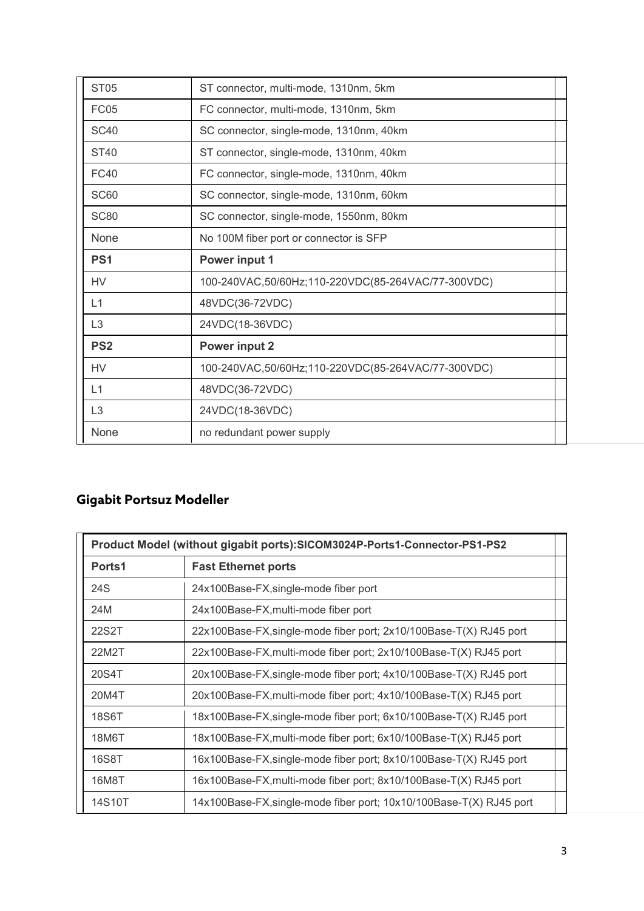| <b>ST05</b>     | ST connector, multi-mode, 1310nm, 5km              |
|-----------------|----------------------------------------------------|
| <b>FC05</b>     | FC connector, multi-mode, 1310nm, 5km              |
| <b>SC40</b>     | SC connector, single-mode, 1310nm, 40km            |
| ST40            | ST connector, single-mode, 1310nm, 40km            |
| <b>FC40</b>     | FC connector, single-mode, 1310nm, 40km            |
| <b>SC60</b>     | SC connector, single-mode, 1310nm, 60km            |
| <b>SC80</b>     | SC connector, single-mode, 1550nm, 80km            |
| None            | No 100M fiber port or connector is SFP             |
| PS <sub>1</sub> | Power input 1                                      |
| <b>HV</b>       | 100-240VAC,50/60Hz;110-220VDC(85-264VAC/77-300VDC) |
| L1              | 48VDC(36-72VDC)                                    |
| L <sub>3</sub>  | 24VDC(18-36VDC)                                    |
| PS <sub>2</sub> | <b>Power input 2</b>                               |
| <b>HV</b>       | 100-240VAC,50/60Hz;110-220VDC(85-264VAC/77-300VDC) |
| L1              | 48VDC(36-72VDC)                                    |
| L <sub>3</sub>  | 24VDC(18-36VDC)                                    |
| None            | no redundant power supply                          |

## **Gigabit Portsuz Modeller**

| Product Model (without gigabit ports): SICOM3024P-Ports1-Connector-PS1-PS2 |                                                                     |
|----------------------------------------------------------------------------|---------------------------------------------------------------------|
| Ports1                                                                     | <b>Fast Ethernet ports</b>                                          |
| 24S                                                                        | 24x100Base-FX, single-mode fiber port                               |
| 24M                                                                        | 24x100Base-FX, multi-mode fiber port                                |
| 22S2T                                                                      | 22x100Base-FX, single-mode fiber port; 2x10/100Base-T(X) RJ45 port  |
| 22M2T                                                                      | 22x100Base-FX, multi-mode fiber port; 2x10/100Base-T(X) RJ45 port   |
| 20S4T                                                                      | 20x100Base-FX, single-mode fiber port; 4x10/100Base-T(X) RJ45 port  |
| 20M4T                                                                      | 20x100Base-FX, multi-mode fiber port; 4x10/100Base-T(X) RJ45 port   |
| 18S6T                                                                      | 18x100Base-FX,single-mode fiber port; 6x10/100Base-T(X) RJ45 port   |
| 18M6T                                                                      | 18x100Base-FX, multi-mode fiber port; 6x10/100Base-T(X) RJ45 port   |
| <b>16S8T</b>                                                               | 16x100Base-FX, single-mode fiber port; 8x10/100Base-T(X) RJ45 port  |
| 16M8T                                                                      | 16x100Base-FX, multi-mode fiber port; 8x10/100Base-T(X) RJ45 port   |
| 14S10T                                                                     | 14x100Base-FX, single-mode fiber port; 10x10/100Base-T(X) RJ45 port |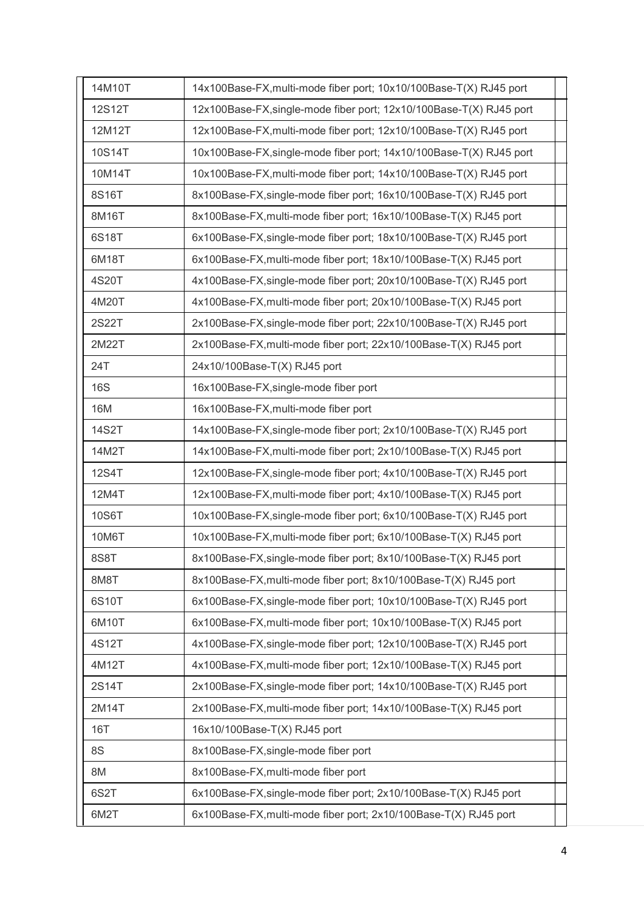| 14M10T       | 14x100Base-FX, multi-mode fiber port; 10x10/100Base-T(X) RJ45 port  |
|--------------|---------------------------------------------------------------------|
| 12S12T       | 12x100Base-FX, single-mode fiber port; 12x10/100Base-T(X) RJ45 port |
| 12M12T       | 12x100Base-FX, multi-mode fiber port; 12x10/100Base-T(X) RJ45 port  |
| 10S14T       | 10x100Base-FX, single-mode fiber port; 14x10/100Base-T(X) RJ45 port |
| 10M14T       | 10x100Base-FX, multi-mode fiber port; 14x10/100Base-T(X) RJ45 port  |
| 8S16T        | 8x100Base-FX, single-mode fiber port; 16x10/100Base-T(X) RJ45 port  |
| 8M16T        | 8x100Base-FX, multi-mode fiber port; 16x10/100Base-T(X) RJ45 port   |
| 6S18T        | 6x100Base-FX, single-mode fiber port; 18x10/100Base-T(X) RJ45 port  |
| 6M18T        | 6x100Base-FX, multi-mode fiber port; 18x10/100Base-T(X) RJ45 port   |
| 4S20T        | 4x100Base-FX, single-mode fiber port; 20x10/100Base-T(X) RJ45 port  |
| 4M20T        | 4x100Base-FX, multi-mode fiber port; 20x10/100Base-T(X) RJ45 port   |
| 2S22T        | 2x100Base-FX, single-mode fiber port; 22x10/100Base-T(X) RJ45 port  |
| 2M22T        | 2x100Base-FX, multi-mode fiber port; 22x10/100Base-T(X) RJ45 port   |
| 24T          | 24x10/100Base-T(X) RJ45 port                                        |
| <b>16S</b>   | 16x100Base-FX, single-mode fiber port                               |
| 16M          | 16x100Base-FX, multi-mode fiber port                                |
| <b>14S2T</b> | 14x100Base-FX, single-mode fiber port; 2x10/100Base-T(X) RJ45 port  |
| 14M2T        | 14x100Base-FX, multi-mode fiber port; 2x10/100Base-T(X) RJ45 port   |
| 12S4T        | 12x100Base-FX, single-mode fiber port; 4x10/100Base-T(X) RJ45 port  |
| 12M4T        | 12x100Base-FX, multi-mode fiber port; 4x10/100Base-T(X) RJ45 port   |
| 10S6T        | 10x100Base-FX, single-mode fiber port; 6x10/100Base-T(X) RJ45 port  |
| 10M6T        | 10x100Base-FX, multi-mode fiber port; 6x10/100Base-T(X) RJ45 port   |
| 8S8T         | 8x100Base-FX, single-mode fiber port; 8x10/100Base-T(X) RJ45 port   |
| 8M8T         | 8x100Base-FX, multi-mode fiber port; 8x10/100Base-T(X) RJ45 port    |
| 6S10T        | 6x100Base-FX, single-mode fiber port; 10x10/100Base-T(X) RJ45 port  |
| 6M10T        | 6x100Base-FX, multi-mode fiber port; 10x10/100Base-T(X) RJ45 port   |
| 4S12T        | 4x100Base-FX, single-mode fiber port; 12x10/100Base-T(X) RJ45 port  |
| 4M12T        | 4x100Base-FX, multi-mode fiber port; 12x10/100Base-T(X) RJ45 port   |
| 2S14T        | 2x100Base-FX, single-mode fiber port; 14x10/100Base-T(X) RJ45 port  |
| 2M14T        | 2x100Base-FX, multi-mode fiber port; 14x10/100Base-T(X) RJ45 port   |
| <b>16T</b>   | 16x10/100Base-T(X) RJ45 port                                        |
| 8S           | 8x100Base-FX, single-mode fiber port                                |
| 8M           | 8x100Base-FX, multi-mode fiber port                                 |
| 6S2T         | 6x100Base-FX, single-mode fiber port; 2x10/100Base-T(X) RJ45 port   |
| 6M2T         | 6x100Base-FX, multi-mode fiber port; 2x10/100Base-T(X) RJ45 port    |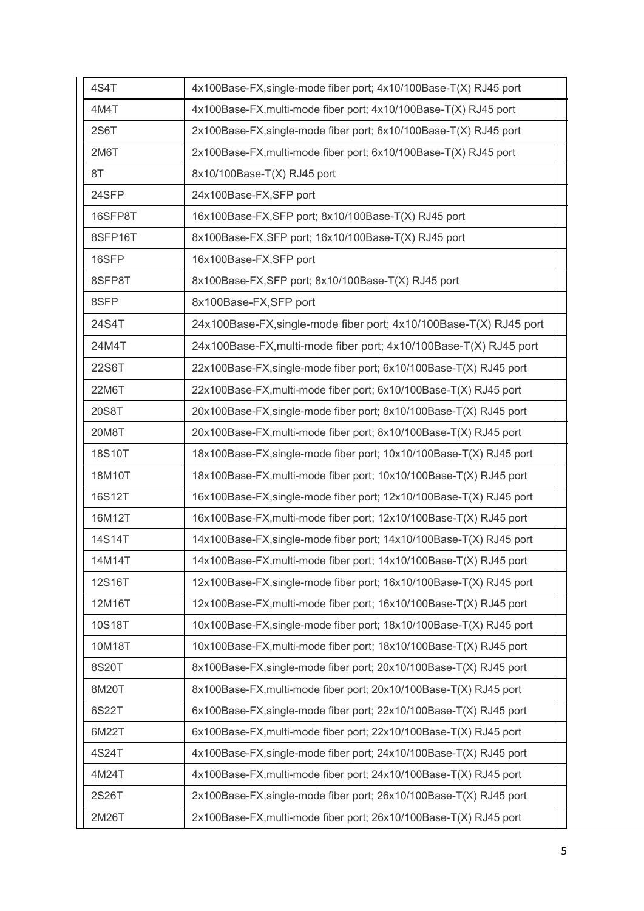| 4S4T    | 4x100Base-FX, single-mode fiber port; 4x10/100Base-T(X) RJ45 port   |  |
|---------|---------------------------------------------------------------------|--|
| 4M4T    | 4x100Base-FX, multi-mode fiber port; 4x10/100Base-T(X) RJ45 port    |  |
| 2S6T    | 2x100Base-FX, single-mode fiber port; 6x10/100Base-T(X) RJ45 port   |  |
| 2M6T    | 2x100Base-FX, multi-mode fiber port; 6x10/100Base-T(X) RJ45 port    |  |
| 8T      | 8x10/100Base-T(X) RJ45 port                                         |  |
| 24SFP   | 24x100Base-FX,SFP port                                              |  |
| 16SFP8T | 16x100Base-FX, SFP port; 8x10/100Base-T(X) RJ45 port                |  |
| 8SFP16T | 8x100Base-FX, SFP port; 16x10/100Base-T(X) RJ45 port                |  |
| 16SFP   | 16x100Base-FX,SFP port                                              |  |
| 8SFP8T  | 8x100Base-FX, SFP port; 8x10/100Base-T(X) RJ45 port                 |  |
| 8SFP    | 8x100Base-FX,SFP port                                               |  |
| 24S4T   | 24x100Base-FX, single-mode fiber port; 4x10/100Base-T(X) RJ45 port  |  |
| 24M4T   | 24x100Base-FX, multi-mode fiber port; 4x10/100Base-T(X) RJ45 port   |  |
| 22S6T   | 22x100Base-FX, single-mode fiber port; 6x10/100Base-T(X) RJ45 port  |  |
| 22M6T   | 22x100Base-FX, multi-mode fiber port; 6x10/100Base-T(X) RJ45 port   |  |
| 20S8T   | 20x100Base-FX, single-mode fiber port; 8x10/100Base-T(X) RJ45 port  |  |
| 20M8T   | 20x100Base-FX, multi-mode fiber port; 8x10/100Base-T(X) RJ45 port   |  |
| 18S10T  | 18x100Base-FX, single-mode fiber port; 10x10/100Base-T(X) RJ45 port |  |
| 18M10T  | 18x100Base-FX, multi-mode fiber port; 10x10/100Base-T(X) RJ45 port  |  |
| 16S12T  | 16x100Base-FX, single-mode fiber port; 12x10/100Base-T(X) RJ45 port |  |
| 16M12T  | 16x100Base-FX, multi-mode fiber port; 12x10/100Base-T(X) RJ45 port  |  |
| 14S14T  | 14x100Base-FX, single-mode fiber port; 14x10/100Base-T(X) RJ45 port |  |
| 14M14T  | 14x100Base-FX, multi-mode fiber port; 14x10/100Base-T(X) RJ45 port  |  |
| 12S16T  | 12x100Base-FX, single-mode fiber port; 16x10/100Base-T(X) RJ45 port |  |
| 12M16T  | 12x100Base-FX, multi-mode fiber port; 16x10/100Base-T(X) RJ45 port  |  |
| 10S18T  | 10x100Base-FX, single-mode fiber port; 18x10/100Base-T(X) RJ45 port |  |
| 10M18T  | 10x100Base-FX, multi-mode fiber port; 18x10/100Base-T(X) RJ45 port  |  |
| 8S20T   | 8x100Base-FX, single-mode fiber port; 20x10/100Base-T(X) RJ45 port  |  |
| 8M20T   | 8x100Base-FX, multi-mode fiber port; 20x10/100Base-T(X) RJ45 port   |  |
| 6S22T   | 6x100Base-FX, single-mode fiber port; 22x10/100Base-T(X) RJ45 port  |  |
| 6M22T   | 6x100Base-FX, multi-mode fiber port; 22x10/100Base-T(X) RJ45 port   |  |
| 4S24T   | 4x100Base-FX, single-mode fiber port; 24x10/100Base-T(X) RJ45 port  |  |
| 4M24T   | 4x100Base-FX, multi-mode fiber port; 24x10/100Base-T(X) RJ45 port   |  |
| 2S26T   | 2x100Base-FX, single-mode fiber port; 26x10/100Base-T(X) RJ45 port  |  |
| 2M26T   | 2x100Base-FX, multi-mode fiber port; 26x10/100Base-T(X) RJ45 port   |  |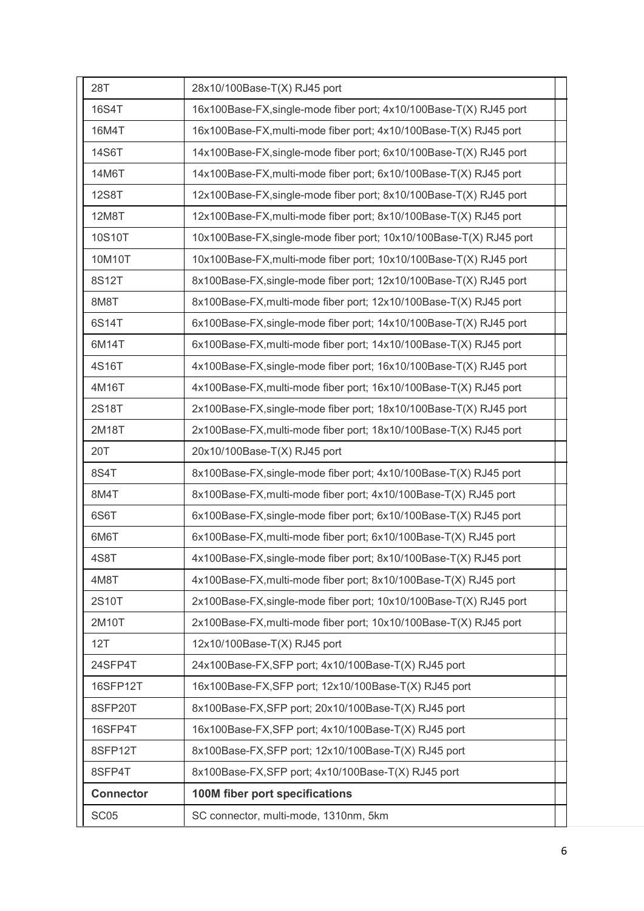| 28T              | 28x10/100Base-T(X) RJ45 port                                        |
|------------------|---------------------------------------------------------------------|
| 16S4T            | 16x100Base-FX, single-mode fiber port; 4x10/100Base-T(X) RJ45 port  |
| 16M4T            | 16x100Base-FX, multi-mode fiber port; 4x10/100Base-T(X) RJ45 port   |
| 14S6T            | 14x100Base-FX, single-mode fiber port; 6x10/100Base-T(X) RJ45 port  |
| 14M6T            | 14x100Base-FX, multi-mode fiber port; 6x10/100Base-T(X) RJ45 port   |
| <b>12S8T</b>     | 12x100Base-FX, single-mode fiber port; 8x10/100Base-T(X) RJ45 port  |
| 12M8T            | 12x100Base-FX, multi-mode fiber port; 8x10/100Base-T(X) RJ45 port   |
| 10S10T           | 10x100Base-FX, single-mode fiber port; 10x10/100Base-T(X) RJ45 port |
| 10M10T           | 10x100Base-FX, multi-mode fiber port; 10x10/100Base-T(X) RJ45 port  |
| 8S12T            | 8x100Base-FX, single-mode fiber port; 12x10/100Base-T(X) RJ45 port  |
| 8M8T             | 8x100Base-FX, multi-mode fiber port; 12x10/100Base-T(X) RJ45 port   |
| 6S14T            | 6x100Base-FX, single-mode fiber port; 14x10/100Base-T(X) RJ45 port  |
| 6M14T            | 6x100Base-FX, multi-mode fiber port; 14x10/100Base-T(X) RJ45 port   |
| 4S16T            | 4x100Base-FX, single-mode fiber port; 16x10/100Base-T(X) RJ45 port  |
| 4M16T            | 4x100Base-FX, multi-mode fiber port; 16x10/100Base-T(X) RJ45 port   |
| 2S18T            | 2x100Base-FX, single-mode fiber port; 18x10/100Base-T(X) RJ45 port  |
| 2M18T            | 2x100Base-FX, multi-mode fiber port; 18x10/100Base-T(X) RJ45 port   |
| 20T              | 20x10/100Base-T(X) RJ45 port                                        |
| 8S4T             | 8x100Base-FX, single-mode fiber port; 4x10/100Base-T(X) RJ45 port   |
| 8M4T             | 8x100Base-FX, multi-mode fiber port; 4x10/100Base-T(X) RJ45 port    |
| 6S6T             | 6x100Base-FX, single-mode fiber port; 6x10/100Base-T(X) RJ45 port   |
| 6M6T             | 6x100Base-FX, multi-mode fiber port; 6x10/100Base-T(X) RJ45 port    |
| 4S8T             | 4x100Base-FX, single-mode fiber port; 8x10/100Base-T(X) RJ45 port   |
| 4M8T             | 4x100Base-FX, multi-mode fiber port; 8x10/100Base-T(X) RJ45 port    |
| 2S10T            | 2x100Base-FX, single-mode fiber port; 10x10/100Base-T(X) RJ45 port  |
| 2M10T            | 2x100Base-FX, multi-mode fiber port; 10x10/100Base-T(X) RJ45 port   |
| 12T              | 12x10/100Base-T(X) RJ45 port                                        |
| 24SFP4T          | 24x100Base-FX, SFP port; 4x10/100Base-T(X) RJ45 port                |
| 16SFP12T         | 16x100Base-FX, SFP port; 12x10/100Base-T(X) RJ45 port               |
| 8SFP20T          | 8x100Base-FX, SFP port; 20x10/100Base-T(X) RJ45 port                |
| 16SFP4T          | 16x100Base-FX, SFP port; 4x10/100Base-T(X) RJ45 port                |
| 8SFP12T          | 8x100Base-FX, SFP port; 12x10/100Base-T(X) RJ45 port                |
| 8SFP4T           | 8x100Base-FX, SFP port; 4x10/100Base-T(X) RJ45 port                 |
| <b>Connector</b> | 100M fiber port specifications                                      |
| SC <sub>05</sub> | SC connector, multi-mode, 1310nm, 5km                               |